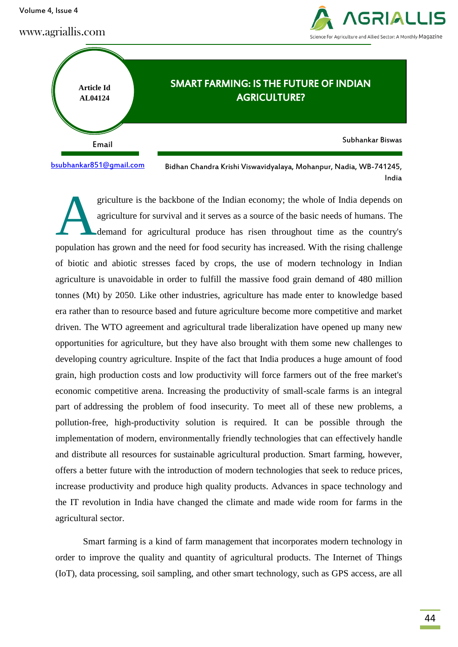griculture is the backbone of the Indian economy; the whole of India depends on agriculture for survival and it serves as a source of the basic needs of humans. The demand for agricultural produce has risen throughout time as the country's population has grown and the need for food security has increased. With the rising challenge of biotic and abiotic stresses faced by crops, the use of modern technology in Indian agriculture is unavoidable in order to fulfill the massive food grain demand of 480 million tonnes (Mt) by 2050. Like other industries, agriculture has made enter to knowledge based era rather than to resource based and future agriculture become more competitive and market driven. The WTO agreement and agricultural trade liberalization have opened up many new opportunities for agriculture, but they have also brought with them some new challenges to developing country agriculture. Inspite of the fact that India produces a huge amount of food grain, high production costs and low productivity will force farmers out of the free market's economic competitive arena. Increasing the productivity of small-scale farms is an integral part of addressing the problem of food insecurity. To meet all of these new problems, a pollution-free, high-productivity solution is required. It can be possible through the implementation of modern, environmentally friendly technologies that can effectively handle and distribute all resources for sustainable agricultural production. Smart farming, however, offers a better future with the introduction of modern technologies that seek to reduce prices, increase productivity and produce high quality products. Advances in space technology and the IT revolution in India have changed the climate and made wide room for farms in the A

Smart farming is a kind of farm management that incorporates modern technology in order to improve the quality and quantity of agricultural products. The Internet of Things (IoT), data processing, soil sampling, and other smart technology, such as GPS access, are all

Email Subhankar Biswas

[bsubhankar851@gmail.com](mailto:bsubhankar851@gmail.com)

agricultural sector.

Bidhan Chandra Krishi Viswavidyalaya, Mohanpur, Nadia, WB-741245, India

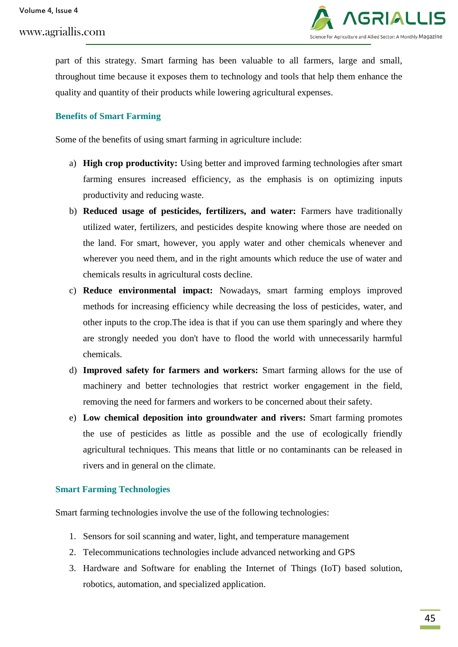

part of this strategy. Smart farming has been valuable to all farmers, large and small, throughout time because it exposes them to technology and tools that help them enhance the quality and quantity of their products while lowering agricultural expenses.

# **Benefits of Smart Farming**

Some of the benefits of using smart farming in agriculture include:

- a) **High crop productivity:** Using better and improved farming technologies after smart farming ensures increased efficiency, as the emphasis is on optimizing inputs productivity and reducing waste.
- b) **Reduced usage of pesticides, fertilizers, and water:** Farmers have traditionally utilized water, fertilizers, and pesticides despite knowing where those are needed on the land. For smart, however, you apply water and other chemicals whenever and wherever you need them, and in the right amounts which reduce the use of water and chemicals results in agricultural costs decline.
- c) **Reduce environmental impact:** Nowadays, smart farming employs improved methods for increasing efficiency while decreasing the loss of pesticides, water, and other inputs to the crop.The idea is that if you can use them sparingly and where they are strongly needed you don't have to flood the world with unnecessarily harmful chemicals.
- d) **Improved safety for farmers and workers:** Smart farming allows for the use of machinery and better technologies that restrict worker engagement in the field, removing the need for farmers and workers to be concerned about their safety.
- e) **Low chemical deposition into groundwater and rivers:** Smart farming promotes the use of pesticides as little as possible and the use of ecologically friendly agricultural techniques. This means that little or no contaminants can be released in rivers and in general on the climate.

## **Smart Farming Technologies**

Smart farming technologies involve the use of the following technologies:

- 1. Sensors for soil scanning and water, light, and temperature management
- 2. Telecommunications technologies include advanced networking and GPS
- 3. Hardware and Software for enabling the Internet of Things (IoT) based solution, robotics, automation, and specialized application.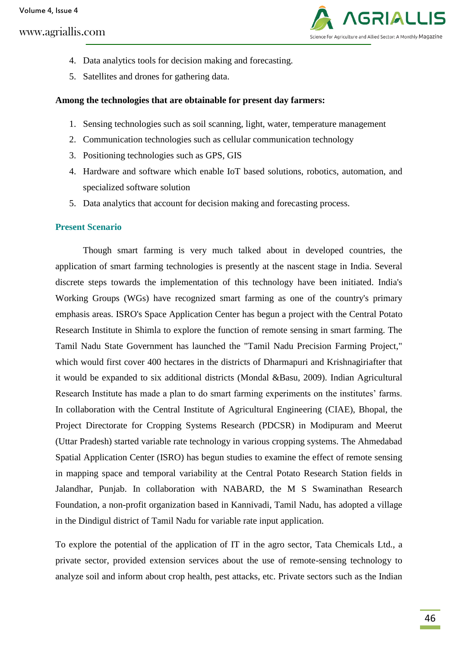

- 4. Data analytics tools for decision making and forecasting.
- 5. Satellites and drones for gathering data.

#### **Among the technologies that are obtainable for present day farmers:**

- 1. Sensing technologies such as soil scanning, light, water, temperature management
- 2. Communication technologies such as cellular communication technology
- 3. Positioning technologies such as GPS, GIS
- 4. Hardware and software which enable IoT based solutions, robotics, automation, and specialized software solution
- 5. Data analytics that account for decision making and forecasting process.

## **Present Scenario**

Though smart farming is very much talked about in developed countries, the application of smart farming technologies is presently at the nascent stage in India. Several discrete steps towards the implementation of this technology have been initiated. India's Working Groups (WGs) have recognized smart farming as one of the country's primary emphasis areas. ISRO's Space Application Center has begun a project with the Central Potato Research Institute in Shimla to explore the function of remote sensing in smart farming. The Tamil Nadu State Government has launched the "Tamil Nadu Precision Farming Project," which would first cover 400 hectares in the districts of Dharmapuri and Krishnagiriafter that it would be expanded to six additional districts (Mondal &Basu, 2009). Indian Agricultural Research Institute has made a plan to do smart farming experiments on the institutes' farms. In collaboration with the Central Institute of Agricultural Engineering (CIAE), Bhopal, the Project Directorate for Cropping Systems Research (PDCSR) in Modipuram and Meerut (Uttar Pradesh) started variable rate technology in various cropping systems. The Ahmedabad Spatial Application Center (ISRO) has begun studies to examine the effect of remote sensing in mapping space and temporal variability at the Central Potato Research Station fields in Jalandhar, Punjab. In collaboration with NABARD, the M S Swaminathan Research Foundation, a non-profit organization based in Kannivadi, Tamil Nadu, has adopted a village in the Dindigul district of Tamil Nadu for variable rate input application.

To explore the potential of the application of IT in the agro sector, Tata Chemicals Ltd., a private sector, provided extension services about the use of remote-sensing technology to analyze soil and inform about crop health, pest attacks, etc. Private sectors such as the Indian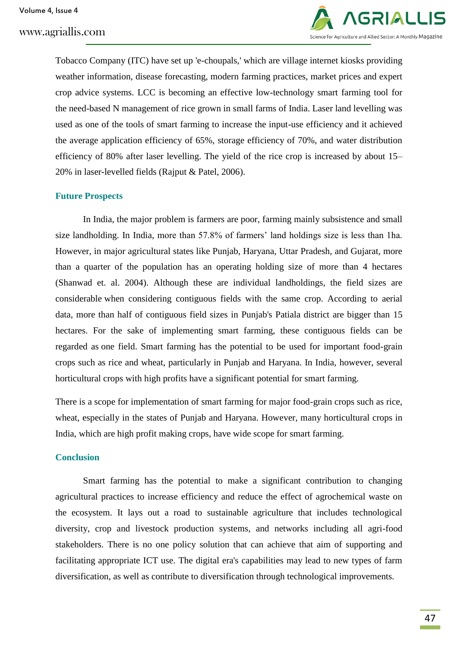

Tobacco Company (ITC) have set up 'e-choupals,' which are village internet kiosks providing weather information, disease forecasting, modern farming practices, market prices and expert crop advice systems. LCC is becoming an effective low-technology smart farming tool for the need-based N management of rice grown in small farms of India. Laser land levelling was used as one of the tools of smart farming to increase the input-use efficiency and it achieved the average application efficiency of 65%, storage efficiency of 70%, and water distribution efficiency of 80% after laser levelling. The yield of the rice crop is increased by about 15– 20% in laser-levelled fields (Rajput & Patel, 2006).

## **Future Prospects**

In India, the major problem is farmers are poor, farming mainly subsistence and small size landholding. In India, more than 57.8% of farmers' land holdings size is less than 1ha. However, in major agricultural states like Punjab, Haryana, Uttar Pradesh, and Gujarat, more than a quarter of the population has an operating holding size of more than 4 hectares (Shanwad et. al. 2004). Although these are individual landholdings, the field sizes are considerable when considering contiguous fields with the same crop. According to aerial data, more than half of contiguous field sizes in Punjab's Patiala district are bigger than 15 hectares. For the sake of implementing smart farming, these contiguous fields can be regarded as one field. Smart farming has the potential to be used for important food-grain crops such as rice and wheat, particularly in Punjab and Haryana. In India, however, several horticultural crops with high profits have a significant potential for smart farming.

There is a scope for implementation of smart farming for major food-grain crops such as rice, wheat, especially in the states of Punjab and Haryana. However, many horticultural crops in India, which are high profit making crops, have wide scope for smart farming.

#### **Conclusion**

Smart farming has the potential to make a significant contribution to changing agricultural practices to increase efficiency and reduce the effect of agrochemical waste on the ecosystem. It lays out a road to sustainable agriculture that includes technological diversity, crop and livestock production systems, and networks including all agri-food stakeholders. There is no one policy solution that can achieve that aim of supporting and facilitating appropriate ICT use. The digital era's capabilities may lead to new types of farm diversification, as well as contribute to diversification through technological improvements.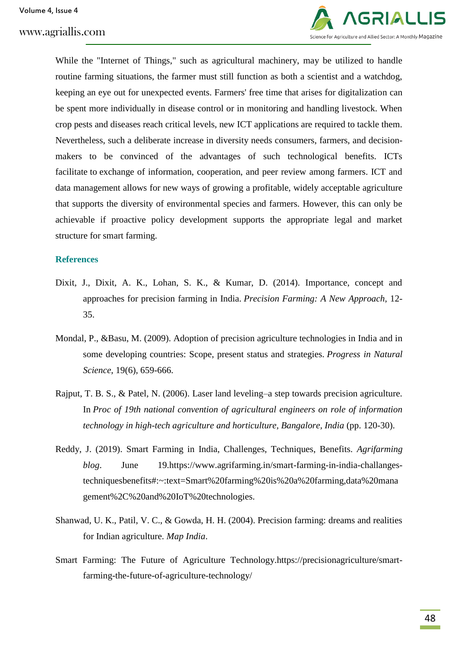

While the "Internet of Things," such as agricultural machinery, may be utilized to handle routine farming situations, the farmer must still function as both a scientist and a watchdog, keeping an eye out for unexpected events. Farmers' free time that arises for digitalization can be spent more individually in disease control or in monitoring and handling livestock. When crop pests and diseases reach critical levels, new ICT applications are required to tackle them. Nevertheless, such a deliberate increase in diversity needs consumers, farmers, and decisionmakers to be convinced of the advantages of such technological benefits. ICTs facilitate to exchange of information, cooperation, and peer review among farmers. ICT and data management allows for new ways of growing a profitable, widely acceptable agriculture that supports the diversity of environmental species and farmers. However, this can only be achievable if proactive policy development supports the appropriate legal and market structure for smart farming.

#### **References**

- Dixit, J., Dixit, A. K., Lohan, S. K., & Kumar, D. (2014). Importance, concept and approaches for precision farming in India. *Precision Farming: A New Approach*, 12- 35.
- Mondal, P., &Basu, M. (2009). Adoption of precision agriculture technologies in India and in some developing countries: Scope, present status and strategies. *Progress in Natural Science*, 19(6), 659-666.
- Rajput, T. B. S., & Patel, N. (2006). Laser land leveling–a step towards precision agriculture. In *Proc of 19th national convention of agricultural engineers on role of information technology in high-tech agriculture and horticulture, Bangalore, India* (pp. 120-30).
- Reddy, J. (2019). Smart Farming in India, Challenges, Techniques, Benefits. *Agrifarming blog*. June 19.https://www.agrifarming.in/smart-farming-in-india-challangestechniquesbenefits#:~:text=Smart%20farming%20is%20a%20farming,data%20mana gement%2C%20and%20IoT%20technologies.
- Shanwad, U. K., Patil, V. C., & Gowda, H. H. (2004). Precision farming: dreams and realities for Indian agriculture. *Map India*.
- Smart Farming: The Future of Agriculture Technology.https://precisionagriculture/smartfarming-the-future-of-agriculture-technology/